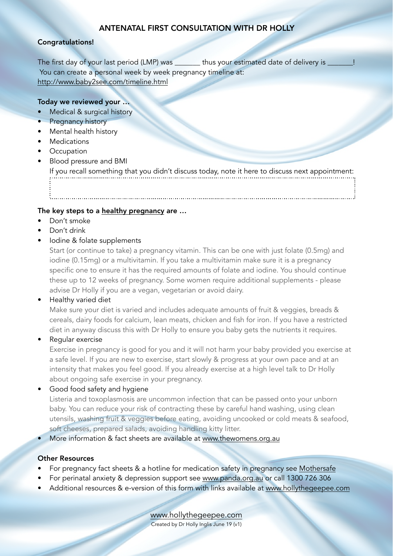# ANTENATAL FIRST CONSULTATION WITH DR HOLLY

### Congratulations!

The first day of your last period (LMP) was thus your estimated date of delivery is You can create a personal week by week pregnancy timeline at: <http://www.baby2see.com/timeline.html>

### Today we reviewed your …

- Medical & surgical history
- Pregnancy history
- Mental health history
- Medications
- Occupation
- Blood pressure and BMI

If you recall something that you didn't discuss today, note it here to discuss next appointment:

### The key steps to a [healthy pregnancy](https://www.thewomens.org.au/health-information/pregnancy-and-birth/a-healthy-pregnancy/quick-tips) are ...

- Don't smoke
- Don't drink
- Iodine & folate supplements

Start (or continue to take) a pregnancy vitamin. This can be one with just folate (0.5mg) and iodine (0.15mg) or a multivitamin. If you take a multivitamin make sure it is a pregnancy specific one to ensure it has the required amounts of folate and iodine. You should continue these up to 12 weeks of pregnancy. Some women require additional supplements - please advise Dr Holly if you are a vegan, vegetarian or avoid dairy.

### • Healthy varied diet

Make sure your diet is varied and includes adequate amounts of fruit & veggies, breads & cereals, dairy foods for calcium, lean meats, chicken and fish for iron. If you have a restricted diet in anyway discuss this with Dr Holly to ensure you baby gets the nutrients it requires.

### • Regular exercise

Exercise in pregnancy is good for you and it will not harm your baby provided you exercise at a safe level. If you are new to exercise, start slowly & progress at your own pace and at an intensity that makes you feel good. If you already exercise at a high level talk to Dr Holly about ongoing safe exercise in your pregnancy.

Good food safety and hygiene

Listeria and toxoplasmosis are uncommon infection that can be passed onto your unborn baby. You can reduce your risk of contracting these by careful hand washing, using clean utensils, washing fruit & veggies before eating, avoiding uncooked or cold meats & seafood, soft cheeses, prepared salads, avoiding handling kitty litter.

• More information & fact sheets are available at [www.thewomens.org.au](http://www.thewomens.org.au)

### Other Resources

- For pregnancy fact sheets & a hotline for medication safety in pregnancy see [Mothersafe](https://www.seslhd.health.nsw.gov.au/royal-hospital-for-women/services-clinics/directory/mothersafe)
- For perinatal anxiety & depression support see [www.panda.org.au](http://www.panda.org.au) or call 1300 726 306
- Additional resources & e-version of this form with links available at [www.hollythegeepee.com](http://www.hollythegeepee.com)

[www.hollythegeepee.com](http://www.hollythegeepee.com) Created by Dr Holly Inglis June 19 (v1)